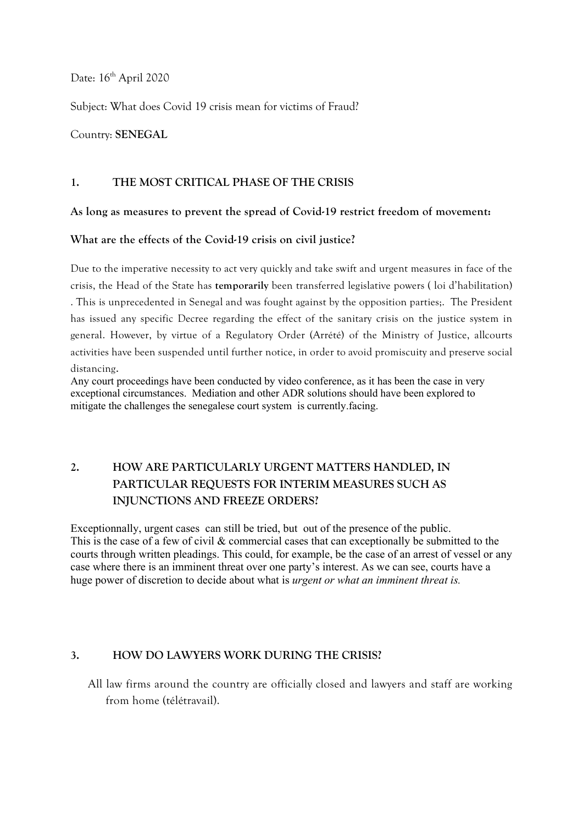Date: 16<sup>th</sup> April 2020

Subject: What does Covid 19 crisis mean for victims of Fraud?

Country: SENEGAL

#### 1. THE MOST CRITICAL PHASE OF THE CRISIS

#### As long as measures to prevent the spread of Covid-19 restrict freedom of movement:

#### What are the effects of the Covid-19 crisis on civil justice?

Due to the imperative necessity to act very quickly and take swift and urgent measures in face of the crisis, the Head of the State has temporarily been transferred legislative powers ( loi d'habilitation) . This is unprecedented in Senegal and was fought against by the opposition parties;. The President has issued any specific Decree regarding the effect of the sanitary crisis on the justice system in general. However, by virtue of a Regulatory Order (Arrété) of the Ministry of Justice, allcourts activities have been suspended until further notice, in order to avoid promiscuity and preserve social distancing.

Any court proceedings have been conducted by video conference, as it has been the case in very exceptional circumstances. Mediation and other ADR solutions should have been explored to mitigate the challenges the senegalese court system is currently.facing.

# 2. HOW ARE PARTICULARLY URGENT MATTERS HANDLED, IN PARTICULAR REQUESTS FOR INTERIM MEASURES SUCH AS INJUNCTIONS AND FREEZE ORDERS?

Exceptionnally, urgent cases can still be tried, but out of the presence of the public. This is the case of a few of civil & commercial cases that can exceptionally be submitted to the courts through written pleadings. This could, for example, be the case of an arrest of vessel or any case where there is an imminent threat over one party's interest. As we can see, courts have a huge power of discretion to decide about what is *urgent or what an imminent threat is*.

#### 3. HOW DO LAWYERS WORK DURING THE CRISIS?

All law firms around the country are officially closed and lawyers and staff are working from home (télétravail).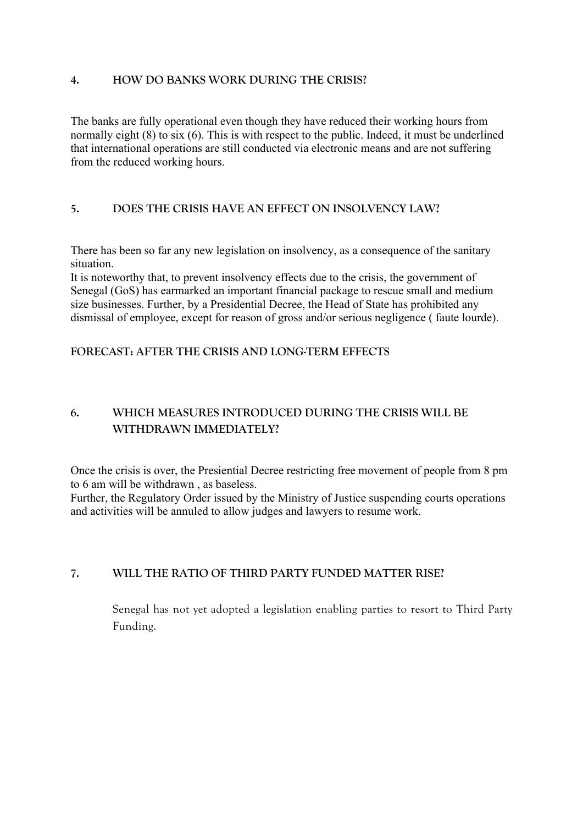### 4. HOW DO BANKS WORK DURING THE CRISIS?

The banks are fully operational even though they have reduced their working hours from normally eight (8) to six (6). This is with respect to the public. Indeed, it must be underlined that international operations are still conducted via electronic means and are not suffering from the reduced working hours.

### 5. DOES THE CRISIS HAVE AN EFFECT ON INSOLVENCY LAW?

There has been so far any new legislation on insolvency, as a consequence of the sanitary situation.

It is noteworthy that, to prevent insolvency effects due to the crisis, the government of Senegal (GoS) has earmarked an important financial package to rescue small and medium size businesses. Further, by a Presidential Decree, the Head of State has prohibited any dismissal of employee, except for reason of gross and/or serious negligence ( faute lourde).

## FORECAST: AFTER THE CRISIS AND LONG-TERM EFFECTS

# 6. WHICH MEASURES INTRODUCED DURING THE CRISIS WILL BE WITHDRAWN IMMEDIATELY?

Once the crisis is over, the Presiential Decree restricting free movement of people from 8 pm to 6 am will be withdrawn , as baseless.

Further, the Regulatory Order issued by the Ministry of Justice suspending courts operations and activities will be annuled to allow judges and lawyers to resume work.

## 7. WILL THE RATIO OF THIRD PARTY FUNDED MATTER RISE?

Senegal has not yet adopted a legislation enabling parties to resort to Third Party Funding.